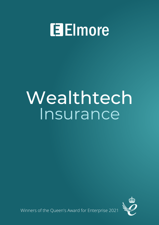# **Elmore**

# Wealthtech Insurance



Winners of the Queen's Award for Enterprise 2021